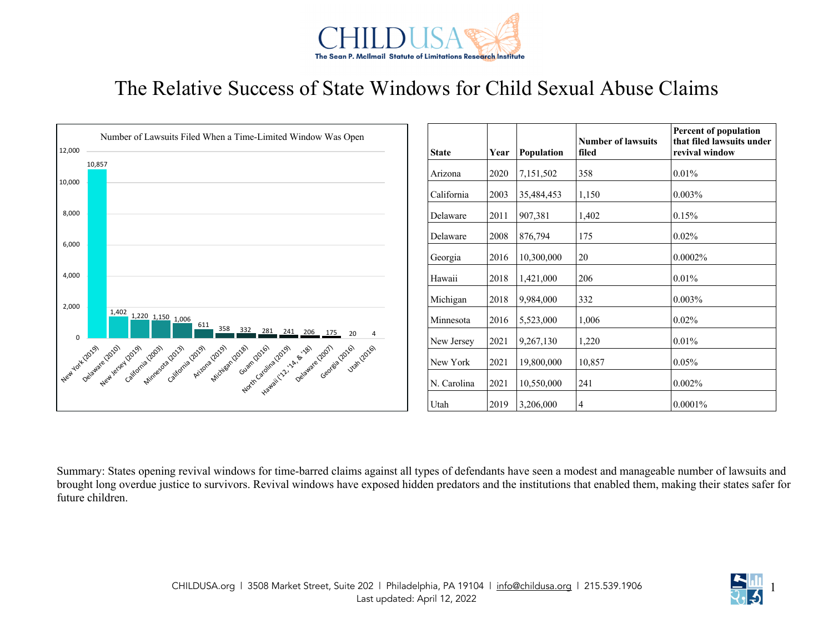

## The Relative Success of State Windows for Child Sexual Abuse Claims



Summary: States opening revival windows for time-barred claims against all types of defendants have seen a modest and manageable number of lawsuits and brought long overdue justice to survivors. Revival windows have exposed hidden predators and the institutions that enabled them, making their states safer for future children.

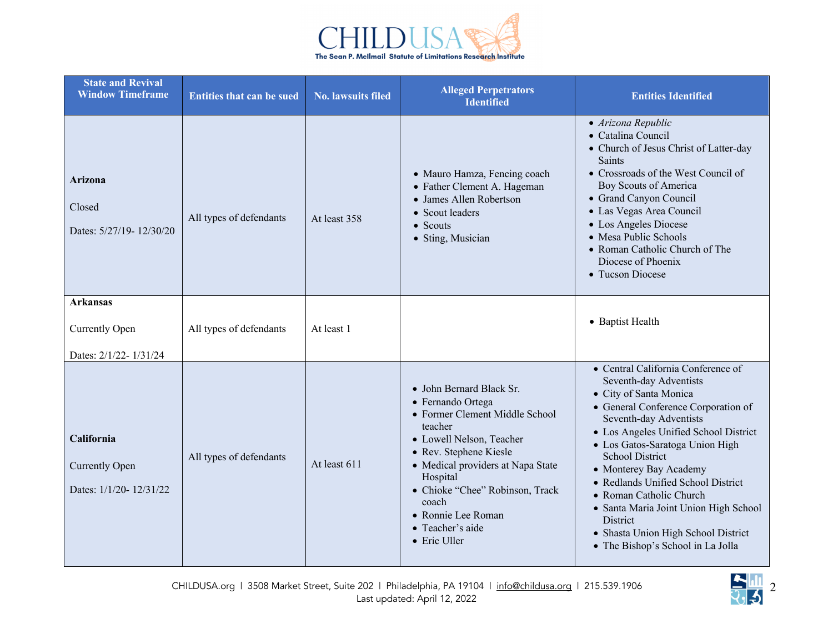

| <b>State and Revival</b><br><b>Window Timeframe</b>           | <b>Entities that can be sued</b> | <b>No. lawsuits filed</b> | <b>Alleged Perpetrators</b><br><b>Identified</b>                                                                                                                                                                                                                                                        | <b>Entities Identified</b>                                                                                                                                                                                                                                                                                                                                                                                                                                                                |
|---------------------------------------------------------------|----------------------------------|---------------------------|---------------------------------------------------------------------------------------------------------------------------------------------------------------------------------------------------------------------------------------------------------------------------------------------------------|-------------------------------------------------------------------------------------------------------------------------------------------------------------------------------------------------------------------------------------------------------------------------------------------------------------------------------------------------------------------------------------------------------------------------------------------------------------------------------------------|
| <b>Arizona</b><br>Closed<br>Dates: 5/27/19-12/30/20           | All types of defendants          | At least 358              | • Mauro Hamza, Fencing coach<br>• Father Clement A. Hageman<br>• James Allen Robertson<br>• Scout leaders<br>$\bullet$ Scouts<br>· Sting, Musician                                                                                                                                                      | • Arizona Republic<br>• Catalina Council<br>• Church of Jesus Christ of Latter-day<br>Saints<br>• Crossroads of the West Council of<br>Boy Scouts of America<br>• Grand Canyon Council<br>· Las Vegas Area Council<br>• Los Angeles Diocese<br>• Mesa Public Schools<br>• Roman Catholic Church of The<br>Diocese of Phoenix<br>• Tucson Diocese                                                                                                                                          |
| <b>Arkansas</b>                                               |                                  |                           |                                                                                                                                                                                                                                                                                                         | • Baptist Health                                                                                                                                                                                                                                                                                                                                                                                                                                                                          |
| <b>Currently Open</b>                                         | All types of defendants          | At least 1                |                                                                                                                                                                                                                                                                                                         |                                                                                                                                                                                                                                                                                                                                                                                                                                                                                           |
| Dates: 2/1/22-1/31/24                                         |                                  |                           |                                                                                                                                                                                                                                                                                                         |                                                                                                                                                                                                                                                                                                                                                                                                                                                                                           |
| California<br><b>Currently Open</b><br>Dates: 1/1/20-12/31/22 | All types of defendants          | At least 611              | • John Bernard Black Sr.<br>• Fernando Ortega<br>• Former Clement Middle School<br>teacher<br>· Lowell Nelson, Teacher<br>· Rev. Stephene Kiesle<br>• Medical providers at Napa State<br>Hospital<br>· Chioke "Chee" Robinson, Track<br>coach<br>• Ronnie Lee Roman<br>• Teacher's aide<br>• Eric Uller | • Central California Conference of<br>Seventh-day Adventists<br>• City of Santa Monica<br>• General Conference Corporation of<br>Seventh-day Adventists<br>• Los Angeles Unified School District<br>• Los Gatos-Saratoga Union High<br><b>School District</b><br>• Monterey Bay Academy<br>• Redlands Unified School District<br>• Roman Catholic Church<br>• Santa Maria Joint Union High School<br>District<br>• Shasta Union High School District<br>• The Bishop's School in La Jolla |

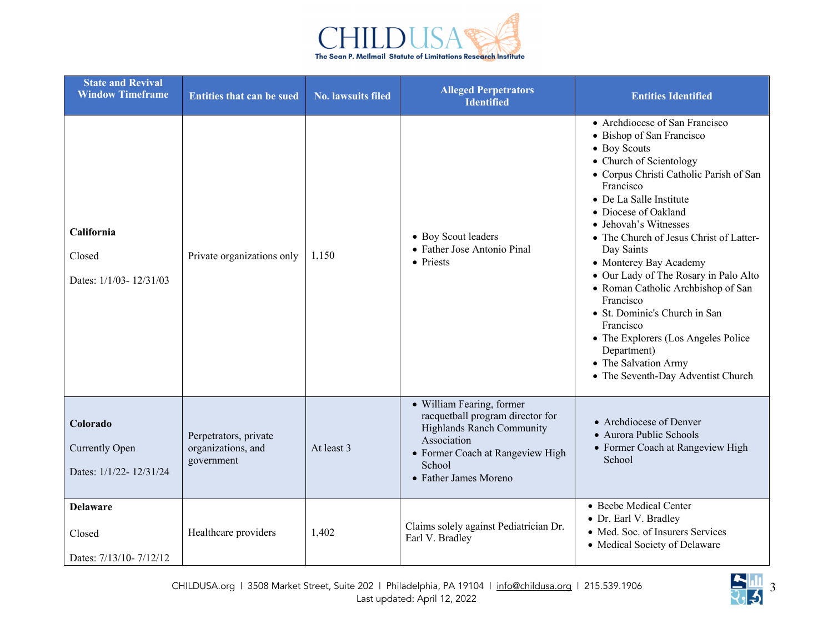

| <b>State and Revival</b><br><b>Window Timeframe</b>         | <b>Entities that can be sued</b>                          | <b>No. lawsuits filed</b> | <b>Alleged Perpetrators</b><br><b>Identified</b>                                                                                                                                        | <b>Entities Identified</b>                                                                                                                                                                                                                                                                                                                                                                                                                                                                                                                                                                  |
|-------------------------------------------------------------|-----------------------------------------------------------|---------------------------|-----------------------------------------------------------------------------------------------------------------------------------------------------------------------------------------|---------------------------------------------------------------------------------------------------------------------------------------------------------------------------------------------------------------------------------------------------------------------------------------------------------------------------------------------------------------------------------------------------------------------------------------------------------------------------------------------------------------------------------------------------------------------------------------------|
| California<br>Closed<br>Dates: 1/1/03-12/31/03              | Private organizations only                                | 1,150                     | • Boy Scout leaders<br>• Father Jose Antonio Pinal<br>• Priests                                                                                                                         | • Archdiocese of San Francisco<br>• Bishop of San Francisco<br>• Boy Scouts<br>• Church of Scientology<br>· Corpus Christi Catholic Parish of San<br>Francisco<br>• De La Salle Institute<br>• Diocese of Oakland<br>• Jehovah's Witnesses<br>• The Church of Jesus Christ of Latter-<br>Day Saints<br>• Monterey Bay Academy<br>• Our Lady of The Rosary in Palo Alto<br>• Roman Catholic Archbishop of San<br>Francisco<br>• St. Dominic's Church in San<br>Francisco<br>• The Explorers (Los Angeles Police<br>Department)<br>• The Salvation Army<br>• The Seventh-Day Adventist Church |
| Colorado<br><b>Currently Open</b><br>Dates: 1/1/22-12/31/24 | Perpetrators, private<br>organizations, and<br>government | At least 3                | • William Fearing, former<br>racquetball program director for<br><b>Highlands Ranch Community</b><br>Association<br>• Former Coach at Rangeview High<br>School<br>• Father James Moreno | • Archdiocese of Denver<br>• Aurora Public Schools<br>• Former Coach at Rangeview High<br>School                                                                                                                                                                                                                                                                                                                                                                                                                                                                                            |
| <b>Delaware</b><br>Closed<br>Dates: 7/13/10-7/12/12         | Healthcare providers                                      | 1,402                     | Claims solely against Pediatrician Dr.<br>Earl V. Bradley                                                                                                                               | · Beebe Medical Center<br>• Dr. Earl V. Bradley<br>• Med. Soc. of Insurers Services<br>• Medical Society of Delaware                                                                                                                                                                                                                                                                                                                                                                                                                                                                        |

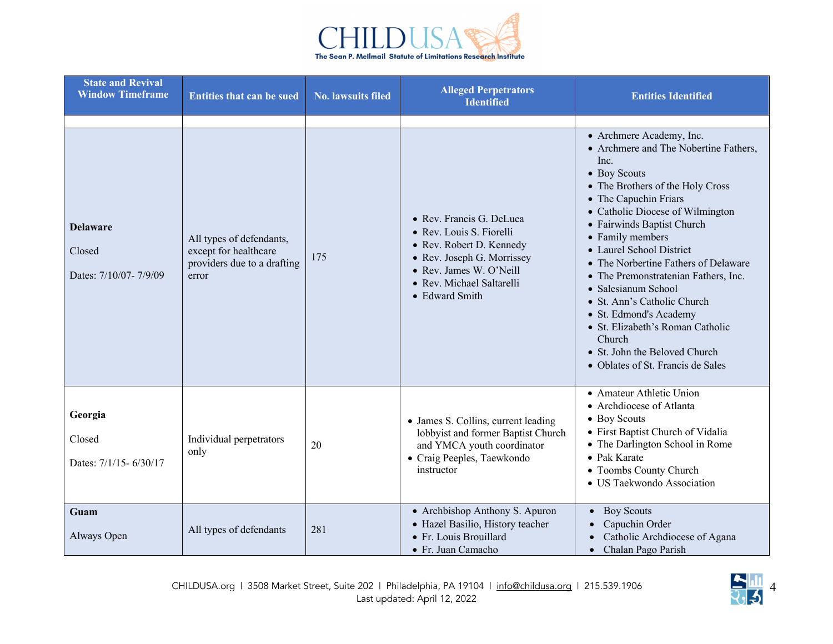

| <b>State and Revival</b><br><b>Window Timeframe</b> | <b>Entities that can be sued</b>                                                          | <b>No. lawsuits filed</b> | <b>Alleged Perpetrators</b><br><b>Identified</b>                                                                                                                                         | <b>Entities Identified</b>                                                                                                                                                                                                                                                                                                                                                                                                                                                                                                                                   |
|-----------------------------------------------------|-------------------------------------------------------------------------------------------|---------------------------|------------------------------------------------------------------------------------------------------------------------------------------------------------------------------------------|--------------------------------------------------------------------------------------------------------------------------------------------------------------------------------------------------------------------------------------------------------------------------------------------------------------------------------------------------------------------------------------------------------------------------------------------------------------------------------------------------------------------------------------------------------------|
|                                                     |                                                                                           |                           |                                                                                                                                                                                          |                                                                                                                                                                                                                                                                                                                                                                                                                                                                                                                                                              |
| <b>Delaware</b><br>Closed<br>Dates: 7/10/07-7/9/09  | All types of defendants,<br>except for healthcare<br>providers due to a drafting<br>error | 175                       | · Rev. Francis G. DeLuca<br>· Rev. Louis S. Fiorelli<br>• Rev. Robert D. Kennedy<br>• Rev. Joseph G. Morrissey<br>· Rev. James W. O'Neill<br>• Rev. Michael Saltarelli<br>• Edward Smith | • Archmere Academy, Inc.<br>• Archmere and The Nobertine Fathers,<br>Inc.<br>• Boy Scouts<br>• The Brothers of the Holy Cross<br>• The Capuchin Friars<br>• Catholic Diocese of Wilmington<br>• Fairwinds Baptist Church<br>• Family members<br>• Laurel School District<br>• The Norbertine Fathers of Delaware<br>• The Premonstratenian Fathers, Inc.<br>· Salesianum School<br>• St. Ann's Catholic Church<br>• St. Edmond's Academy<br>· St. Elizabeth's Roman Catholic<br>Church<br>• St. John the Beloved Church<br>• Oblates of St. Francis de Sales |
| Georgia<br>Closed<br>Dates: 7/1/15-6/30/17          | Individual perpetrators<br>only                                                           | 20                        | • James S. Collins, current leading<br>lobbyist and former Baptist Church<br>and YMCA youth coordinator<br>• Craig Peeples, Taewkondo<br>instructor                                      | • Amateur Athletic Union<br>• Archdiocese of Atlanta<br>• Boy Scouts<br>· First Baptist Church of Vidalia<br>• The Darlington School in Rome<br>• Pak Karate<br>• Toombs County Church<br>· US Taekwondo Association                                                                                                                                                                                                                                                                                                                                         |
| Guam<br>Always Open                                 | All types of defendants                                                                   | 281                       | • Archbishop Anthony S. Apuron<br>· Hazel Basilio, History teacher<br>· Fr. Louis Brouillard<br>• Fr. Juan Camacho                                                                       | • Boy Scouts<br>Capuchin Order<br>Catholic Archdiocese of Agana<br>Chalan Pago Parish<br>$\bullet$                                                                                                                                                                                                                                                                                                                                                                                                                                                           |

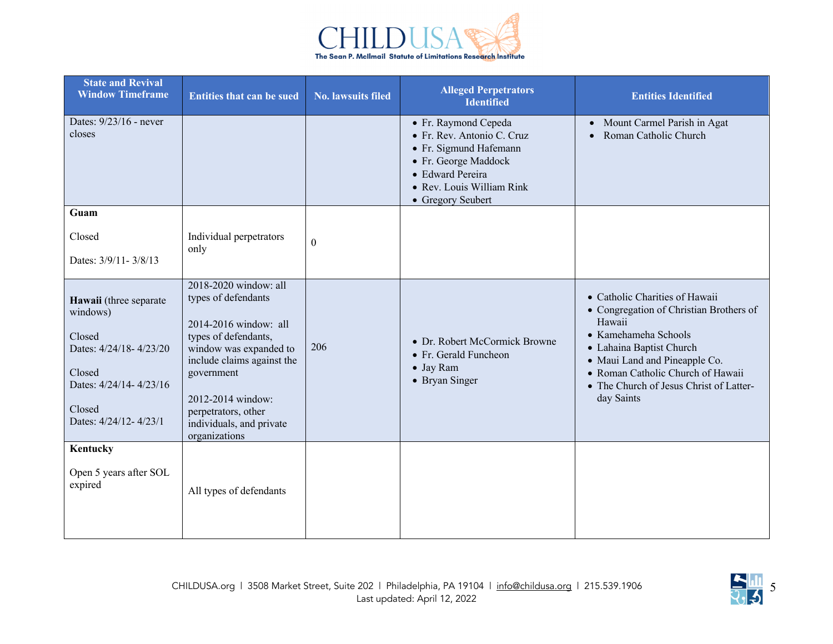

| <b>State and Revival</b><br><b>Window Timeframe</b>                                                                                           | <b>Entities that can be sued</b>                                                                                                                                                                                                                             | <b>No. lawsuits filed</b> | <b>Alleged Perpetrators</b><br><b>Identified</b>                                                                                                                           | <b>Entities Identified</b>                                                                                                                                                                                                                                             |
|-----------------------------------------------------------------------------------------------------------------------------------------------|--------------------------------------------------------------------------------------------------------------------------------------------------------------------------------------------------------------------------------------------------------------|---------------------------|----------------------------------------------------------------------------------------------------------------------------------------------------------------------------|------------------------------------------------------------------------------------------------------------------------------------------------------------------------------------------------------------------------------------------------------------------------|
| Dates: 9/23/16 - never<br>closes                                                                                                              |                                                                                                                                                                                                                                                              |                           | • Fr. Raymond Cepeda<br>· Fr. Rev. Antonio C. Cruz<br>• Fr. Sigmund Hafemann<br>• Fr. George Maddock<br>· Edward Pereira<br>• Rev. Louis William Rink<br>• Gregory Seubert | • Mount Carmel Parish in Agat<br>Roman Catholic Church                                                                                                                                                                                                                 |
| Guam                                                                                                                                          |                                                                                                                                                                                                                                                              |                           |                                                                                                                                                                            |                                                                                                                                                                                                                                                                        |
| Closed<br>Dates: 3/9/11-3/8/13                                                                                                                | Individual perpetrators<br>only                                                                                                                                                                                                                              | $\Omega$                  |                                                                                                                                                                            |                                                                                                                                                                                                                                                                        |
| Hawaii (three separate<br>windows)<br>Closed<br>Dates: 4/24/18-4/23/20<br>Closed<br>Dates: 4/24/14-4/23/16<br>Closed<br>Dates: 4/24/12-4/23/1 | 2018-2020 window: all<br>types of defendants<br>2014-2016 window: all<br>types of defendants,<br>window was expanded to<br>include claims against the<br>government<br>2012-2014 window:<br>perpetrators, other<br>individuals, and private<br>organizations | 206                       | • Dr. Robert McCormick Browne<br>• Fr. Gerald Funcheon<br>• Jay Ram<br>• Bryan Singer                                                                                      | • Catholic Charities of Hawaii<br>• Congregation of Christian Brothers of<br>Hawaii<br>• Kamehameha Schools<br>• Lahaina Baptist Church<br>• Maui Land and Pineapple Co.<br>• Roman Catholic Church of Hawaii<br>• The Church of Jesus Christ of Latter-<br>day Saints |
| Kentucky<br>Open 5 years after SOL<br>expired                                                                                                 | All types of defendants                                                                                                                                                                                                                                      |                           |                                                                                                                                                                            |                                                                                                                                                                                                                                                                        |

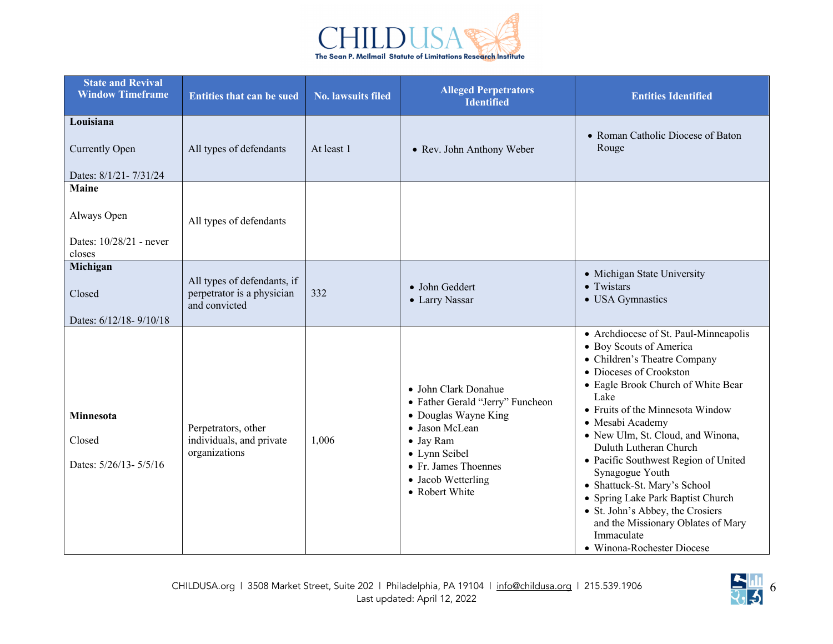

| <b>State and Revival</b><br><b>Window Timeframe</b>              | <b>Entities that can be sued</b>                                           | <b>No. lawsuits filed</b> | <b>Alleged Perpetrators</b><br><b>Identified</b>                                                                                                                                                 | <b>Entities Identified</b>                                                                                                                                                                                                                                                                                                                                                                                                                                                                                                                                        |
|------------------------------------------------------------------|----------------------------------------------------------------------------|---------------------------|--------------------------------------------------------------------------------------------------------------------------------------------------------------------------------------------------|-------------------------------------------------------------------------------------------------------------------------------------------------------------------------------------------------------------------------------------------------------------------------------------------------------------------------------------------------------------------------------------------------------------------------------------------------------------------------------------------------------------------------------------------------------------------|
| Louisiana<br><b>Currently Open</b><br>Dates: 8/1/21-7/31/24      | All types of defendants                                                    | At least 1                | • Rev. John Anthony Weber                                                                                                                                                                        | • Roman Catholic Diocese of Baton<br>Rouge                                                                                                                                                                                                                                                                                                                                                                                                                                                                                                                        |
| <b>Maine</b><br>Always Open<br>Dates: 10/28/21 - never<br>closes | All types of defendants                                                    |                           |                                                                                                                                                                                                  |                                                                                                                                                                                                                                                                                                                                                                                                                                                                                                                                                                   |
| Michigan<br>Closed<br>Dates: 6/12/18-9/10/18                     | All types of defendants, if<br>perpetrator is a physician<br>and convicted | 332                       | · John Geddert<br>• Larry Nassar                                                                                                                                                                 | • Michigan State University<br>• Twistars<br>• USA Gymnastics                                                                                                                                                                                                                                                                                                                                                                                                                                                                                                     |
| Minnesota<br>Closed<br>Dates: 5/26/13-5/5/16                     | Perpetrators, other<br>individuals, and private<br>organizations           | 1,006                     | • John Clark Donahue<br>• Father Gerald "Jerry" Funcheon<br>• Douglas Wayne King<br>• Jason McLean<br>• Jay Ram<br>• Lynn Seibel<br>• Fr. James Thoennes<br>• Jacob Wetterling<br>• Robert White | • Archdiocese of St. Paul-Minneapolis<br>· Boy Scouts of America<br>• Children's Theatre Company<br>• Dioceses of Crookston<br>• Eagle Brook Church of White Bear<br>Lake<br>• Fruits of the Minnesota Window<br>· Mesabi Academy<br>• New Ulm, St. Cloud, and Winona,<br>Duluth Lutheran Church<br>• Pacific Southwest Region of United<br>Synagogue Youth<br>• Shattuck-St. Mary's School<br>Spring Lake Park Baptist Church<br>$\bullet$<br>• St. John's Abbey, the Crosiers<br>and the Missionary Oblates of Mary<br>Immaculate<br>• Winona-Rochester Diocese |

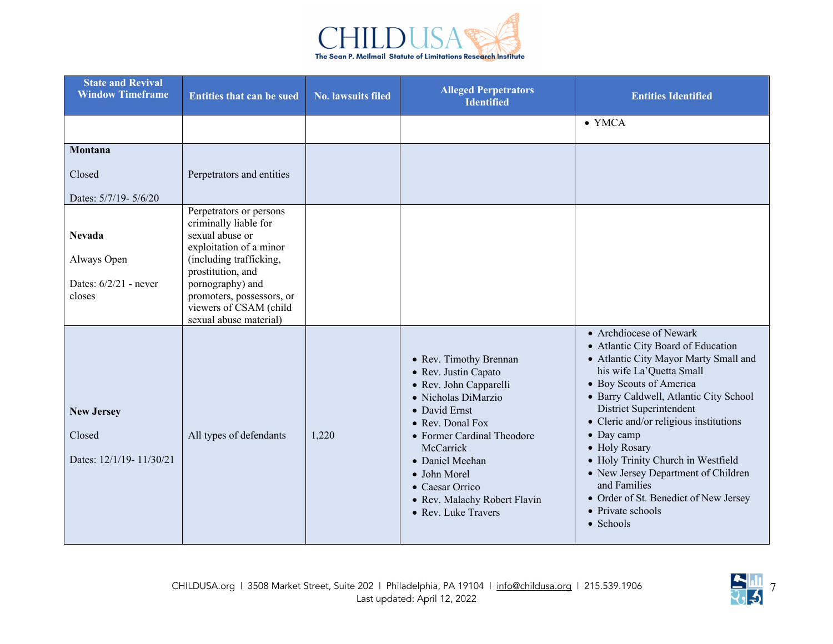

| <b>State and Revival</b><br><b>Window Timeframe</b>               | <b>Entities that can be sued</b>                                                                                                                                                                                                                    | <b>No. lawsuits filed</b> | <b>Alleged Perpetrators</b><br><b>Identified</b>                                                                                                                                                                                                                                             | <b>Entities Identified</b>                                                                                                                                                                                                                                                                                                                                                                                                                                                          |
|-------------------------------------------------------------------|-----------------------------------------------------------------------------------------------------------------------------------------------------------------------------------------------------------------------------------------------------|---------------------------|----------------------------------------------------------------------------------------------------------------------------------------------------------------------------------------------------------------------------------------------------------------------------------------------|-------------------------------------------------------------------------------------------------------------------------------------------------------------------------------------------------------------------------------------------------------------------------------------------------------------------------------------------------------------------------------------------------------------------------------------------------------------------------------------|
|                                                                   |                                                                                                                                                                                                                                                     |                           |                                                                                                                                                                                                                                                                                              | $\bullet$ YMCA                                                                                                                                                                                                                                                                                                                                                                                                                                                                      |
| Montana                                                           |                                                                                                                                                                                                                                                     |                           |                                                                                                                                                                                                                                                                                              |                                                                                                                                                                                                                                                                                                                                                                                                                                                                                     |
| Closed                                                            | Perpetrators and entities                                                                                                                                                                                                                           |                           |                                                                                                                                                                                                                                                                                              |                                                                                                                                                                                                                                                                                                                                                                                                                                                                                     |
| Dates: 5/7/19- 5/6/20                                             |                                                                                                                                                                                                                                                     |                           |                                                                                                                                                                                                                                                                                              |                                                                                                                                                                                                                                                                                                                                                                                                                                                                                     |
| <b>Nevada</b><br>Always Open<br>Dates: $6/2/21$ - never<br>closes | Perpetrators or persons<br>criminally liable for<br>sexual abuse or<br>exploitation of a minor<br>(including trafficking,<br>prostitution, and<br>pornography) and<br>promoters, possessors, or<br>viewers of CSAM (child<br>sexual abuse material) |                           |                                                                                                                                                                                                                                                                                              |                                                                                                                                                                                                                                                                                                                                                                                                                                                                                     |
| <b>New Jersey</b><br>Closed<br>Dates: 12/1/19- 11/30/21           | All types of defendants                                                                                                                                                                                                                             | 1,220                     | • Rev. Timothy Brennan<br>• Rev. Justin Capato<br>• Rev. John Capparelli<br>· Nicholas DiMarzio<br>• David Ernst<br>• Rev. Donal Fox<br>• Former Cardinal Theodore<br>McCarrick<br>• Daniel Meehan<br>• John Morel<br>• Caesar Orrico<br>• Rev. Malachy Robert Flavin<br>• Rev. Luke Travers | • Archdiocese of Newark<br>• Atlantic City Board of Education<br>• Atlantic City Mayor Marty Small and<br>his wife La'Quetta Small<br>· Boy Scouts of America<br>· Barry Caldwell, Atlantic City School<br>District Superintendent<br>• Cleric and/or religious institutions<br>• Day camp<br>• Holy Rosary<br>• Holy Trinity Church in Westfield<br>• New Jersey Department of Children<br>and Families<br>• Order of St. Benedict of New Jersey<br>• Private schools<br>• Schools |

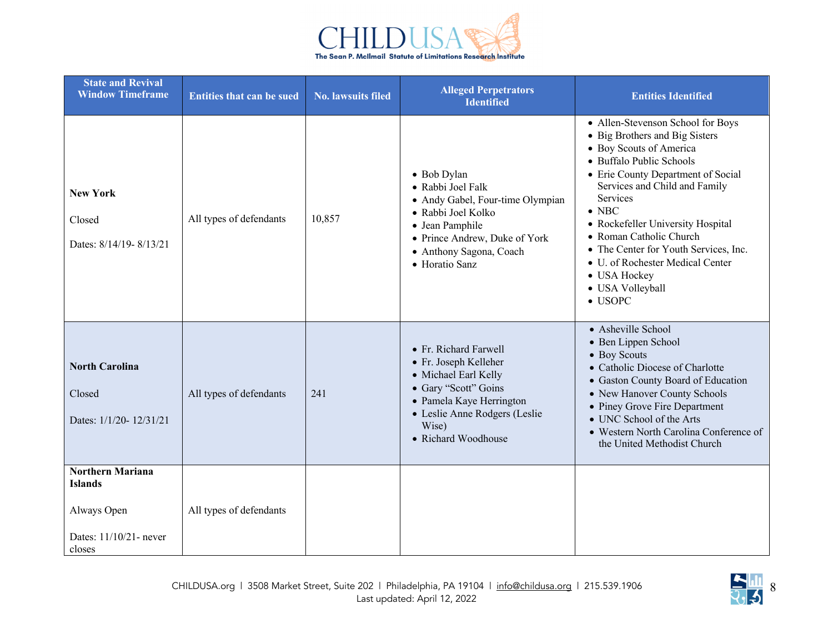

| <b>State and Revival</b><br><b>Window Timeframe</b>                                          | <b>Entities that can be sued</b> | <b>No. lawsuits filed</b> | <b>Alleged Perpetrators</b><br><b>Identified</b>                                                                                                                                            | <b>Entities Identified</b>                                                                                                                                                                                                                                                                                                                                                                                                         |
|----------------------------------------------------------------------------------------------|----------------------------------|---------------------------|---------------------------------------------------------------------------------------------------------------------------------------------------------------------------------------------|------------------------------------------------------------------------------------------------------------------------------------------------------------------------------------------------------------------------------------------------------------------------------------------------------------------------------------------------------------------------------------------------------------------------------------|
| <b>New York</b><br>Closed<br>Dates: 8/14/19-8/13/21                                          | All types of defendants          | 10,857                    | • Bob Dylan<br>• Rabbi Joel Falk<br>• Andy Gabel, Four-time Olympian<br>• Rabbi Joel Kolko<br>· Jean Pamphile<br>• Prince Andrew, Duke of York<br>· Anthony Sagona, Coach<br>• Horatio Sanz | • Allen-Stevenson School for Boys<br>• Big Brothers and Big Sisters<br>• Boy Scouts of America<br>· Buffalo Public Schools<br>• Erie County Department of Social<br>Services and Child and Family<br>Services<br>$\bullet$ NBC<br>• Rockefeller University Hospital<br>• Roman Catholic Church<br>• The Center for Youth Services, Inc.<br>• U. of Rochester Medical Center<br>• USA Hockey<br>· USA Volleyball<br>$\bullet$ USOPC |
| <b>North Carolina</b><br>Closed<br>Dates: 1/1/20-12/31/21                                    | All types of defendants          | 241                       | • Fr. Richard Farwell<br>• Fr. Joseph Kelleher<br>• Michael Earl Kelly<br>· Gary "Scott" Goins<br>· Pamela Kaye Herrington<br>· Leslie Anne Rodgers (Leslie<br>Wise)<br>• Richard Woodhouse | • Asheville School<br>· Ben Lippen School<br>• Boy Scouts<br>• Catholic Diocese of Charlotte<br>· Gaston County Board of Education<br>• New Hanover County Schools<br>• Piney Grove Fire Department<br>• UNC School of the Arts<br>• Western North Carolina Conference of<br>the United Methodist Church                                                                                                                           |
| <b>Northern Mariana</b><br><b>Islands</b><br>Always Open<br>Dates: 11/10/21- never<br>closes | All types of defendants          |                           |                                                                                                                                                                                             |                                                                                                                                                                                                                                                                                                                                                                                                                                    |